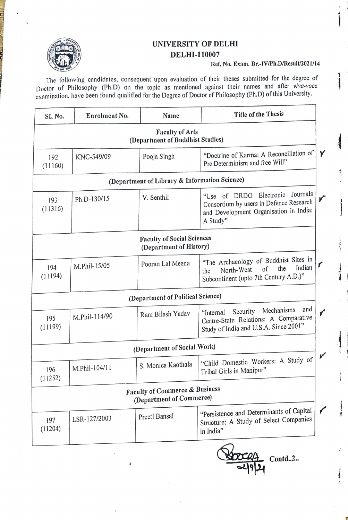

## UNIVERSITY OF DELHI DELHI-110007

## Ref. No. Exam. Br.-IV/Ph.D/Result/2021/14

The following candidates, consequent upon evaluation of their theses submitted for the degree of Doctor of Philosophy (Ph.D) on the topic as mentioned against their names and after viva-voce examination, have been found qualified for the Degree of Doctor of Philosophy (Ph.D) of this University.

| SI. No.                                                      | Enrolment No. | Name                              | <b>Title of the Thesis</b>                                                                                                              |  |  |
|--------------------------------------------------------------|---------------|-----------------------------------|-----------------------------------------------------------------------------------------------------------------------------------------|--|--|
| <b>Faculty of Arts</b><br>(Department of Buddhist Studies)   |               |                                   |                                                                                                                                         |  |  |
| 192<br>(11160)                                               | KNC-549/09    | Pooja Singh                       | "Doctrine of Karma: A Reconciliation of<br>Pre Determinism and free Will"                                                               |  |  |
| (Department of Library & Information Science)                |               |                                   |                                                                                                                                         |  |  |
| 193<br>(11316)                                               | Ph.D-130/15   | V. Senthil                        | Journals<br>Electronic<br>"Use of DRDO<br>Consortium by users in Defence Research<br>and Development Organisation in India:<br>A Study" |  |  |
| <b>Faculty of Social Sciences</b><br>(Department of History) |               |                                   |                                                                                                                                         |  |  |
| 194<br>(11194)                                               | M.Phil-15/05  | Pooran Lal Meena                  | "The Archaeology of Buddhist Sites in<br>Indian<br>the<br>of<br>North-West<br>the<br>Subcontinent (upto 7th Century A.D.)"              |  |  |
|                                                              |               | (Department of Political Science) |                                                                                                                                         |  |  |
| 195<br>(11199)                                               | M.Phil-114/90 | Ram Bilash Yadav                  | and<br>Mechanisms<br>Security<br>"Internal"<br>Centre-State Relations: A Comparative<br>Study of India and U.S.A. Since 2001"           |  |  |
| (Department of Social Work)                                  |               |                                   |                                                                                                                                         |  |  |
| 196<br>(11252)                                               | M.Phil-104/11 | S. Monica Kaothala                | "Child Domestic Workers: A Study of<br>Tribal Girls in Manipur"                                                                         |  |  |
| Faculty of Commerce & Business<br>(Department of Commerce)   |               |                                   |                                                                                                                                         |  |  |
| 197<br>(11204)                                               | LSR-127/2003  | Preeti Bansal                     | "Persistence and Determinants of Capital<br>Structure: A Study of Select Companies<br>in India"                                         |  |  |

 $\text{Contd.2.}.$